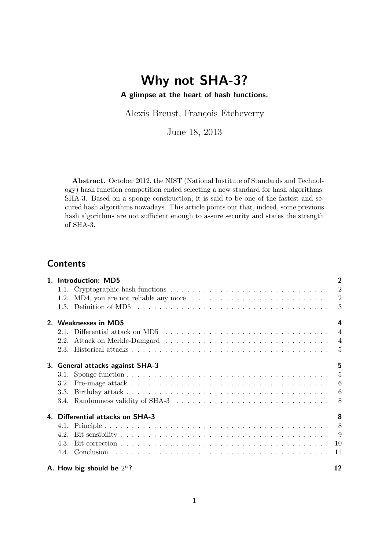## Why not SHA-3? A glimpse at the heart of hash functions.

Alexis Breust, François Etcheverry

June 18, 2013

Abstract. October 2012, the NIST (National Institute of Standards and Technology) hash function competition ended selecting a new standard for hash algorithms: SHA-3. Based on a sponge construction, it is said to be one of the fastest and secured hash algorithms nowadays. This article points out that, indeed, some previous hash algorithms are not sufficient enough to assure security and states the strength of SHA-3.

## **Contents**

| 1. Introduction: MD5                                                                                               | $\overline{2}$ |
|--------------------------------------------------------------------------------------------------------------------|----------------|
|                                                                                                                    |                |
| 1.2. MD4, you are not reliable any more $\dots \dots \dots \dots \dots \dots \dots \dots \dots \dots \dots$        |                |
| 1.3. Definition of MD5 $\dots \dots \dots \dots \dots \dots \dots \dots \dots \dots \dots \dots \dots \dots \dots$ | -3             |
| 2. Weaknesses in MD5                                                                                               | 4              |
| 2.1. Differential attack on MD5 $\ldots \ldots \ldots \ldots \ldots \ldots \ldots \ldots \ldots \ldots$            |                |
| 2.2.                                                                                                               |                |
|                                                                                                                    | - 5            |
| 3. General attacks against SHA-3                                                                                   | 5              |
|                                                                                                                    |                |
|                                                                                                                    |                |
| 3.3.                                                                                                               |                |
|                                                                                                                    |                |
| 4. Differential attacks on SHA-3                                                                                   | 8              |
|                                                                                                                    |                |
| 4.2.                                                                                                               |                |
|                                                                                                                    |                |
|                                                                                                                    |                |
| A. How big should be $2^n$ ?                                                                                       | 12             |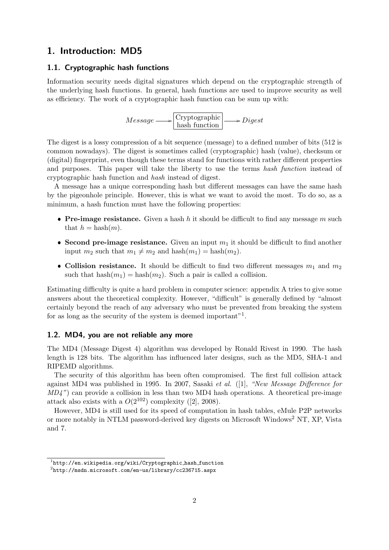## 1. Introduction: MD5

#### 1.1. Cryptographic hash functions

Information security needs digital signatures which depend on the cryptographic strength of the underlying hash functions. In general, hash functions are used to improve security as well as efficiency. The work of a cryptographic hash function can be sum up with:

 $Message \longrightarrow \begin{array}{c} \text{Cryptography} \\ \text{hash function} \end{array} \longrightarrow Discrete$ 

The digest is a lossy compression of a bit sequence (message) to a defined number of bits (512 is common nowadays). The digest is sometimes called (cryptographic) hash (value), checksum or (digital) fingerprint, even though these terms stand for functions with rather different properties and purposes. This paper will take the liberty to use the terms hash function instead of cryptographic hash function and hash instead of digest.

A message has a unique corresponding hash but different messages can have the same hash by the pigeonhole principle. However, this is what we want to avoid the most. To do so, as a minimum, a hash function must have the following properties:

- Pre-image resistance. Given a hash  $h$  it should be difficult to find any message  $m$  such that  $h = \text{hash}(m)$ .
- Second pre-image resistance. Given an input  $m_1$  it should be difficult to find another input  $m_2$  such that  $m_1 \neq m_2$  and hash $(m_1) =$  hash $(m_2)$ .
- Collision resistance. It should be difficult to find two different messages  $m_1$  and  $m_2$ such that  $hash(m_1) = hash(m_2)$ . Such a pair is called a collision.

Estimating difficulty is quite a hard problem in computer science: appendix A tries to give some answers about the theoretical complexity. However, "difficult" is generally defined by "almost certainly beyond the reach of any adversary who must be prevented from breaking the system for as long as the security of the system is deemed important"<sup>1</sup>.

#### 1.2. MD4, you are not reliable any more

The MD4 (Message Digest 4) algorithm was developed by Ronald Rivest in 1990. The hash length is 128 bits. The algorithm has influenced later designs, such as the MD5, SHA-1 and RIPEMD algorithms.

The security of this algorithm has been often compromised. The first full collision attack against MD4 was published in 1995. In 2007, Sasaki et al. ([1], "New Message Difference for  $MD4$ ") can provide a collision in less than two MD4 hash operations. A theoretical pre-image attack also exists with a  $O(2^{102})$  complexity ([2], 2008).

However, MD4 is still used for its speed of computation in hash tables, eMule P2P networks or more notably in NTLM password-derived key digests on Microsoft Windows<sup>2</sup> NT, XP, Vista and 7.

 $^1$ http://en.wikipedia.org/wiki/Cryptographic\_hash\_function

 $^2$ http://msdn.microsoft.com/en-us/library/cc236715.aspx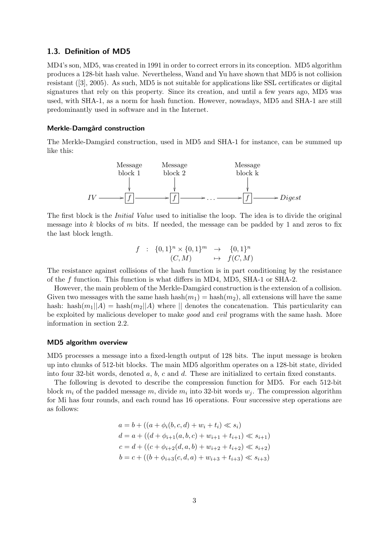#### 1.3. Definition of MD5

MD4's son, MD5, was created in 1991 in order to correct errors in its conception. MD5 algorithm produces a 128-bit hash value. Nevertheless, Wand and Yu have shown that MD5 is not collision resistant ([3], 2005). As such, MD5 is not suitable for applications like SSL certificates or digital signatures that rely on this property. Since its creation, and until a few years ago, MD5 was used, with SHA-1, as a norm for hash function. However, nowadays, MD5 and SHA-1 are still predominantly used in software and in the Internet.

#### Merkle-Damgård construction

The Merkle-Damgård construction, used in MD5 and SHA-1 for instance, can be summed up like this:



The first block is the *Initial Value* used to initialise the loop. The idea is to divide the original message into k blocks of m bits. If needed, the message can be padded by 1 and zeros to fix the last block length.

$$
f : \{0,1\}^n \times \{0,1\}^m \rightarrow \{0,1\}^n
$$
  

$$
(C,M) \rightarrow f(C,M)
$$

The resistance against collisions of the hash function is in part conditioning by the resistance of the f function. This function is what differs in MD4, MD5, SHA-1 or SHA-2.

However, the main problem of the Merkle-Damgård construction is the extension of a collision. Given two messages with the same hash hash $(m_1)$  = hash $(m_2)$ , all extensions will have the same hash: hash $(m_1||A)$  = hash $(m_2||A)$  where  $||$  denotes the concatenation. This particularity can be exploited by malicious developer to make good and evil programs with the same hash. More information in section 2.2.

#### MD5 algorithm overview

MD5 processes a message into a fixed-length output of 128 bits. The input message is broken up into chunks of 512-bit blocks. The main MD5 algorithm operates on a 128-bit state, divided into four 32-bit words, denoted a, b, c and d. These are initialized to certain fixed constants.

The following is devoted to describe the compression function for MD5. For each 512-bit block  $m_i$  of the padded message m, divide  $m_i$  into 32-bit words  $w_j$ . The compression algorithm for Mi has four rounds, and each round has 16 operations. Four successive step operations are as follows:

$$
a = b + ((a + \phi_i(b, c, d) + w_i + t_i) \ll s_i)
$$
  
\n
$$
d = a + ((d + \phi_{i+1}(a, b, c) + w_{i+1} + t_{i+1}) \ll s_{i+1})
$$
  
\n
$$
c = d + ((c + \phi_{i+2}(d, a, b) + w_{i+2} + t_{i+2}) \ll s_{i+2})
$$
  
\n
$$
b = c + ((b + \phi_{i+3}(c, d, a) + w_{i+3} + t_{i+3}) \ll s_{i+3})
$$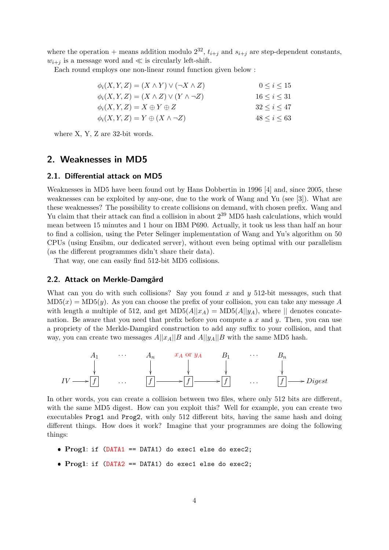where the operation + means addition modulo  $2^{32}$ ,  $t_{i+j}$  and  $s_{i+j}$  are step-dependent constants,  $w_{i+j}$  is a message word and  $\ll$  is circularly left-shift.

Each round employs one non-linear round function given below :

| $\phi_i(X, Y, Z) = (X \wedge Y) \vee (\neg X \wedge Z)$ | $0 \le i \le 15$    |
|---------------------------------------------------------|---------------------|
| $\phi_i(X, Y, Z) = (X \wedge Z) \vee (Y \wedge \neg Z)$ | $16 \leq i \leq 31$ |
| $\phi_i(X, Y, Z) = X \oplus Y \oplus Z$                 | $32 \le i \le 47$   |
| $\phi_i(X, Y, Z) = Y \oplus (X \wedge \neg Z)$          | $48 \le i \le 63$   |

where X, Y, Z are 32-bit words.

## 2. Weaknesses in MD5

#### 2.1. Differential attack on MD5

Weaknesses in MD5 have been found out by Hans Dobbertin in 1996 [4] and, since 2005, these weaknesses can be exploited by any-one, due to the work of Wang and Yu (see [3]). What are these weaknesses? The possibility to create collisions on demand, with chosen prefix. Wang and Yu claim that their attack can find a collision in about  $2^{39}$  MD5 hash calculations, which would mean between 15 minutes and 1 hour on IBM P690. Actually, it took us less than half an hour to find a collision, using the Peter Selinger implementation of Wang and Yu's algorithm on 50 CPUs (using Ensibm, our dedicated server), without even being optimal with our parallelism (as the different programmes didn't share their data).

That way, one can easily find 512-bit MD5 collisions.

#### 2.2. Attack on Merkle-Damgård

What can you do with such collisions? Say you found x and y 512-bit messages, such that  $MD5(x) = MD5(y)$ . As you can choose the prefix of your collision, you can take any message A with length a multiple of 512, and get  $MD5(A||x_A) = MD5(A||y_A)$ , where  $||$  denotes concatenation. Be aware that you need that prefix before you compute a  $x$  and  $y$ . Then, you can use a propriety of the Merkle-Damgård construction to add any suffix to your collision, and that way, you can create two messages  $A||x_A||B$  and  $A||y_A||B$  with the same MD5 hash.



In other words, you can create a collision between two files, where only 512 bits are different, with the same MD5 digest. How can you exploit this? Well for example, you can create two executables Prog1 and Prog2, with only 512 different bits, having the same hash and doing different things. How does it work? Imagine that your programmes are doing the following things:

- Prog1: if (DATA1 == DATA1) do exec1 else do exec2;
- Prog1: if (DATA2 == DATA1) do exec1 else do exec2;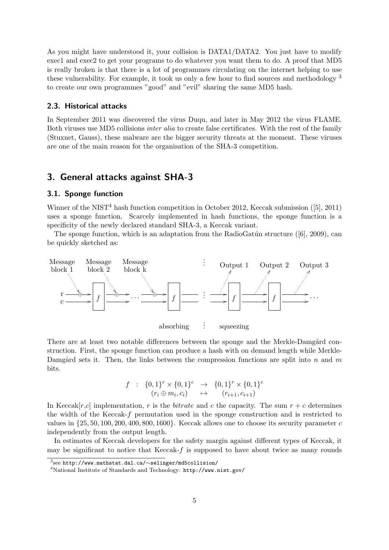As you might have understood it, your collision is DATA1/DATA2. You just have to modify exec1 and exec2 to get your programs to do whatever you want them to do. A proof that MD5 is really broken is that there is a lot of programmes circulating on the internet helping to use these vulnerability. For example, it took us only a few hour to find sources and methodology  $3$ to create our own programmes "good" and "evil" sharing the same MD5 hash.

#### 2.3. Historical attacks

In September 2011 was discovered the virus Duqu, and later in May 2012 the virus FLAME. Both viruses use MD5 collisions inter alia to create false certificates. With the rest of the family (Stuxnet, Gauss), these malware are the bigger security threats at the moment. These viruses are one of the main reason for the organisation of the SHA-3 competition.

## 3. General attacks against SHA-3

#### 3.1. Sponge function

Winner of the NIST<sup>4</sup> hash function competition in October 2012, Keccak submission ([5], 2011) uses a sponge function. Scarcely implemented in hash functions, the sponge function is a specificity of the newly declared standard SHA-3, a Keccak variant.

The sponge function, which is an adaptation from the RadioGatún structure ( $[6]$ , 2009), can be quickly sketched as:



There are at least two notable differences between the sponge and the Merkle-Damgård construction. First, the sponge function can produce a hash with on demand length while Merkle-Damgård sets it. Then, the links between the compression functions are split into n and  $m$ bits.

$$
f : \{0,1\}^r \times \{0,1\}^c \rightarrow \{0,1\}^r \times \{0,1\}^c
$$
  

$$
(r_i \oplus m_i, c_i) \rightarrow (r_{i+1}, c_{i+1})
$$

In Keccak $[r,c]$  implementation, r is the bitrate and c the capacity. The sum  $r + c$  determines the width of the Keccak-f permutation used in the sponge construction and is restricted to values in  $\{25, 50, 100, 200, 400, 800, 1600\}$ . Keccak allows one to choose its security parameter c independently from the output length.

In estimates of Keccak developers for the safety margin against different types of Keccak, it may be significant to notice that Keccak- $f$  is supposed to have about twice as many rounds

 $^3$ see http://www.mathstat.dal.ca/ $\sim$ selinger/md5collision/

<sup>4</sup>National Institute of Standards and Technology: http://www.nist.gov/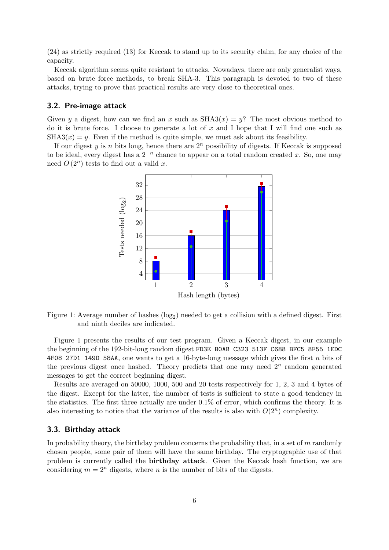(24) as strictly required (13) for Keccak to stand up to its security claim, for any choice of the capacity.

Keccak algorithm seems quite resistant to attacks. Nowadays, there are only generalist ways, based on brute force methods, to break SHA-3. This paragraph is devoted to two of these attacks, trying to prove that practical results are very close to theoretical ones.

#### 3.2. Pre-image attack

Given y a digest, how can we find an x such as  $SHAS(x) = y$ ? The most obvious method to do it is brute force. I choose to generate a lot of  $x$  and I hope that I will find one such as  $SHA3(x) = y$ . Even if the method is quite simple, we must ask about its feasibility.

If our digest y is n bits long, hence there are  $2^n$  possibility of digests. If Keccak is supposed to be ideal, every digest has a  $2^{-n}$  chance to appear on a total random created x. So, one may need  $O(2^n)$  tests to find out a valid x.



Figure 1: Average number of hashes  $(\log_2)$  needed to get a collision with a defined digest. First and ninth deciles are indicated.

Figure 1 presents the results of our test program. Given a Keccak digest, in our example the beginning of the 192-bit-long random digest FD3E B0AB C323 513F C688 BFC5 8F55 1EDC 4F08 27D1 149D 58AA, one wants to get a 16-byte-long message which gives the first  $n$  bits of the previous digest once hashed. Theory predicts that one may need  $2<sup>n</sup>$  random generated messages to get the correct beginning digest.

Results are averaged on 50000, 1000, 500 and 20 tests respectively for 1, 2, 3 and 4 bytes of the digest. Except for the latter, the number of tests is sufficient to state a good tendency in the statistics. The first three actually are under 0.1% of error, which confirms the theory. It is also interesting to notice that the variance of the results is also with  $O(2^n)$  complexity.

#### 3.3. Birthday attack

In probability theory, the birthday problem concerns the probability that, in a set of  $m$  randomly chosen people, some pair of them will have the same birthday. The cryptographic use of that problem is currently called the birthday attack. Given the Keccak hash function, we are considering  $m = 2^n$  digests, where n is the number of bits of the digests.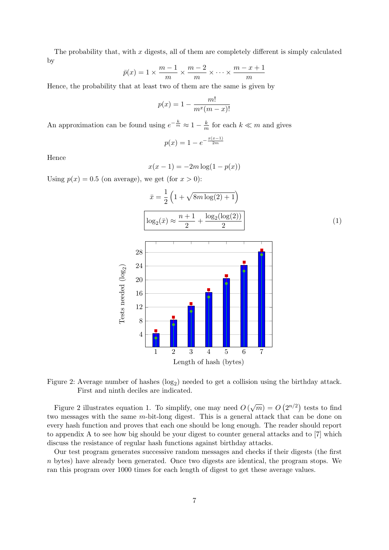The probability that, with  $x$  digests, all of them are completely different is simply calculated by

$$
\bar{p}(x) = 1 \times \frac{m-1}{m} \times \frac{m-2}{m} \times \dots \times \frac{m-x+1}{m}
$$

Hence, the probability that at least two of them are the same is given by

$$
p(x) = 1 - \frac{m!}{m^x(m-x)!}
$$

An approximation can be found using  $e^{-\frac{k}{m}} \approx 1 - \frac{k}{m}$  $\frac{k}{m}$  for each  $k \ll m$  and gives

$$
p(x) = 1 - e^{-\frac{x(x-1)}{2m}}
$$

Hence

$$
x(x - 1) = -2m \log(1 - p(x))
$$

Using  $p(x) = 0.5$  (on average), we get (for  $x > 0$ ):



Figure 2: Average number of hashes  $(\log_2)$  needed to get a collision using the birthday attack. First and ninth deciles are indicated.

Figure 2 illustrates equation 1. To simplify, one may need  $O(\sqrt{m}) = O(2^{n/2})$  tests to find two messages with the same m-bit-long digest. This is a general attack that can be done on every hash function and proves that each one should be long enough. The reader should report to appendix A to see how big should be your digest to counter general attacks and to [7] which discuss the resistance of regular hash functions against birthday attacks.

Our test program generates successive random messages and checks if their digests (the first n bytes) have already been generated. Once two digests are identical, the program stops. We ran this program over 1000 times for each length of digest to get these average values.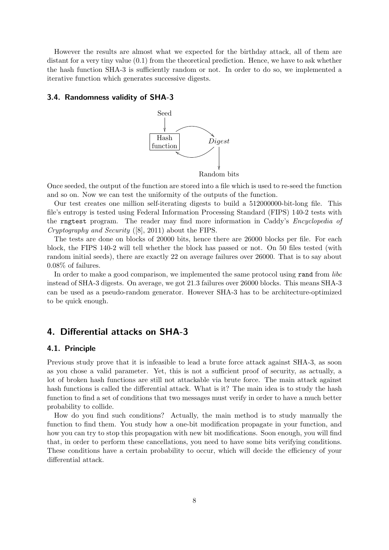However the results are almost what we expected for the birthday attack, all of them are distant for a very tiny value (0.1) from the theoretical prediction. Hence, we have to ask whether the hash function SHA-3 is sufficiently random or not. In order to do so, we implemented a iterative function which generates successive digests.

#### 3.4. Randomness validity of SHA-3



Once seeded, the output of the function are stored into a file which is used to re-seed the function and so on. Now we can test the uniformity of the outputs of the function.

Our test creates one million self-iterating digests to build a 512000000-bit-long file. This file's entropy is tested using Federal Information Processing Standard (FIPS) 140-2 tests with the rngtest program. The reader may find more information in Caddy's Encyclopedia of Cryptography and Security ([8], 2011) about the FIPS.

The tests are done on blocks of 20000 bits, hence there are 26000 blocks per file. For each block, the FIPS 140-2 will tell whether the block has passed or not. On 50 files tested (with random initial seeds), there are exactly 22 on average failures over 26000. That is to say about 0.08% of failures.

In order to make a good comparison, we implemented the same protocol using rand from *libc* instead of SHA-3 digests. On average, we got 21.3 failures over 26000 blocks. This means SHA-3 can be used as a pseudo-random generator. However SHA-3 has to be architecture-optimized to be quick enough.

## 4. Differential attacks on SHA-3

#### 4.1. Principle

Previous study prove that it is infeasible to lead a brute force attack against SHA-3, as soon as you chose a valid parameter. Yet, this is not a sufficient proof of security, as actually, a lot of broken hash functions are still not attackable via brute force. The main attack against hash functions is called the differential attack. What is it? The main idea is to study the hash function to find a set of conditions that two messages must verify in order to have a much better probability to collide.

How do you find such conditions? Actually, the main method is to study manually the function to find them. You study how a one-bit modification propagate in your function, and how you can try to stop this propagation with new bit modifications. Soon enough, you will find that, in order to perform these cancellations, you need to have some bits verifying conditions. These conditions have a certain probability to occur, which will decide the efficiency of your differential attack.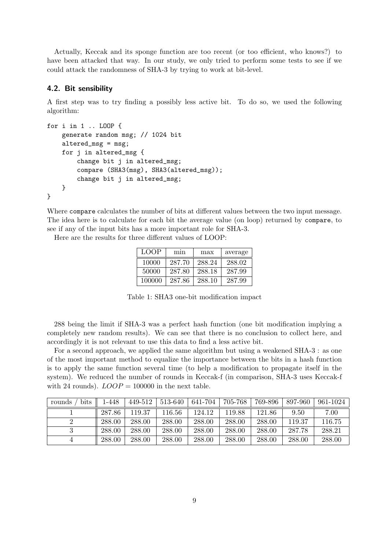Actually, Keccak and its sponge function are too recent (or too efficient, who knows?) to have been attacked that way. In our study, we only tried to perform some tests to see if we could attack the randomness of SHA-3 by trying to work at bit-level.

#### 4.2. Bit sensibility

A first step was to try finding a possibly less active bit. To do so, we used the following algorithm:

```
for i in 1 .. LOOP {
    generate random msg; // 1024 bit
    altered_msg = msg;
    for j in altered_msg {
        change bit j in altered_msg;
        compare (SHA3(msg), SHA3(altered_msg));
        change bit j in altered_msg;
    }
}
```
Where compare calculates the number of bits at different values between the two input message. The idea here is to calculate for each bit the average value (on loop) returned by compare, to see if any of the input bits has a more important role for SHA-3.

Here are the results for three different values of LOOP:

| LOOP   | min    | max    | average |  |  |
|--------|--------|--------|---------|--|--|
| 10000  | 287.70 | 288.24 | 288.02  |  |  |
| 50000  | 287.80 | 288.18 | 287.99  |  |  |
| 100000 | 287.86 | 288.10 | 287.99  |  |  |

Table 1: SHA3 one-bit modification impact

288 being the limit if SHA-3 was a perfect hash function (one bit modification implying a completely new random results). We can see that there is no conclusion to collect here, and accordingly it is not relevant to use this data to find a less active bit.

For a second approach, we applied the same algorithm but using a weakened SHA-3 : as one of the most important method to equalize the importance between the bits in a hash function is to apply the same function several time (to help a modification to propagate itself in the system). We reduced the number of rounds in Keccak-f (in comparison, SHA-3 uses Keccak-f with 24 rounds).  $LOOP = 100000$  in the next table.

| bits<br>rounds | 1-448  | $449-512$ | $1513 - 640$ | 641-704 | 705-768 | 769-896 | 897-960 | 961-1024 |
|----------------|--------|-----------|--------------|---------|---------|---------|---------|----------|
|                | 287.86 | 119.37    | 116.56       | 124.12  | 119.88  | 121.86  | 9.50    | 7.00     |
|                | 288.00 | 288.00    | 288.00       | 288.00  | 288.00  | 288.00  | 119.37  | 116.75   |
|                | 288.00 | 288.00    | 288.00       | 288.00  | 288.00  | 288.00  | 287.78  | 288.21   |
|                | 288.00 | 288.00    | 288.00       | 288.00  | 288.00  | 288.00  | 288.00  | 288.00   |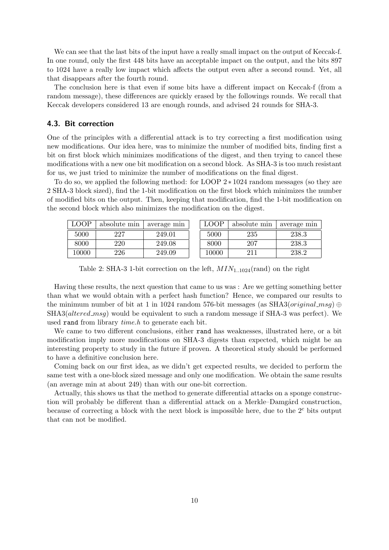We can see that the last bits of the input have a really small impact on the output of Keccak-f. In one round, only the first 448 bits have an acceptable impact on the output, and the bits 897 to 1024 have a really low impact which affects the output even after a second round. Yet, all that disappears after the fourth round.

The conclusion here is that even if some bits have a different impact on Keccak-f (from a random message), these differences are quickly erased by the followings rounds. We recall that Keccak developers considered 13 are enough rounds, and advised 24 rounds for SHA-3.

#### 4.3. Bit correction

One of the principles with a differential attack is to try correcting a first modification using new modifications. Our idea here, was to minimize the number of modified bits, finding first a bit on first block which minimizes modifications of the digest, and then trying to cancel these modifications with a new one bit modification on a second block. As SHA-3 is too much resistant for us, we just tried to minimize the number of modifications on the final digest.

To do so, we applied the following method: for LOOP 2 ∗ 1024 random messages (so they are 2 SHA-3 block sized), find the 1-bit modification on the first block which minimizes the number of modified bits on the output. Then, keeping that modification, find the 1-bit modification on the second block which also minimizes the modification on the digest.

| LOOP  | absolute min | average min | $\rm LOOP$ | absolute min | average min |
|-------|--------------|-------------|------------|--------------|-------------|
| 5000  | 227          | 249.01      | 5000       | 235          | 238.3       |
| 8000  | 220          | 249.08      | 8000       | 207          | 238.3       |
| 10000 | 226          | 249.09      | 10000      | 211          | 238.2       |

Table 2: SHA-3 1-bit correction on the left,  $MIN_{1..1024}$ (rand) on the right

Having these results, the next question that came to us was : Are we getting something better than what we would obtain with a perfect hash function? Hence, we compared our results to the minimum number of bit at 1 in 1024 random 576-bit messages (as SHA3(*original\_msg*) ⊕  $SHA3(altered_msg)$  would be equivalent to such a random message if  $SHA-3$  was perfect). We used rand from library *time.h* to generate each bit.

We came to two different conclusions, either rand has weaknesses, illustrated here, or a bit modification imply more modifications on SHA-3 digests than expected, which might be an interesting property to study in the future if proven. A theoretical study should be performed to have a definitive conclusion here.

Coming back on our first idea, as we didn't get expected results, we decided to perform the same test with a one-block sized message and only one modification. We obtain the same results (an average min at about 249) than with our one-bit correction.

Actually, this shows us that the method to generate differential attacks on a sponge construction will probably be different than a differential attack on a Merkle–Damgård construction, because of correcting a block with the next block is impossible here, due to the  $2<sup>c</sup>$  bits output that can not be modified.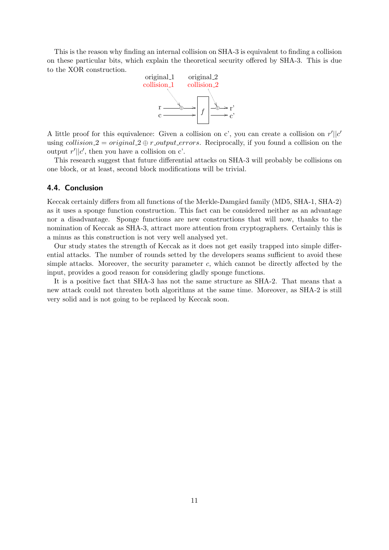This is the reason why finding an internal collision on SHA-3 is equivalent to finding a collision on these particular bits, which explain the theoretical security offered by SHA-3. This is due to the XOR construction.



A little proof for this equivalence: Given a collision on c', you can create a collision on  $r'||c'$ using collision 2 = original  $2 \oplus r$ -output-errors. Reciprocally, if you found a collision on the output  $r'||c'$ , then you have a collision on c'.

This research suggest that future differential attacks on SHA-3 will probably be collisions on one block, or at least, second block modifications will be trivial.

#### 4.4. Conclusion

Keccak certainly differs from all functions of the Merkle-Damgård family (MD5, SHA-1, SHA-2) as it uses a sponge function construction. This fact can be considered neither as an advantage nor a disadvantage. Sponge functions are new constructions that will now, thanks to the nomination of Keccak as SHA-3, attract more attention from cryptographers. Certainly this is a minus as this construction is not very well analysed yet.

Our study states the strength of Keccak as it does not get easily trapped into simple differential attacks. The number of rounds setted by the developers seams sufficient to avoid these simple attacks. Moreover, the security parameter c, which cannot be directly affected by the input, provides a good reason for considering gladly sponge functions.

It is a positive fact that SHA-3 has not the same structure as SHA-2. That means that a new attack could not threaten both algorithms at the same time. Moreover, as SHA-2 is still very solid and is not going to be replaced by Keccak soon.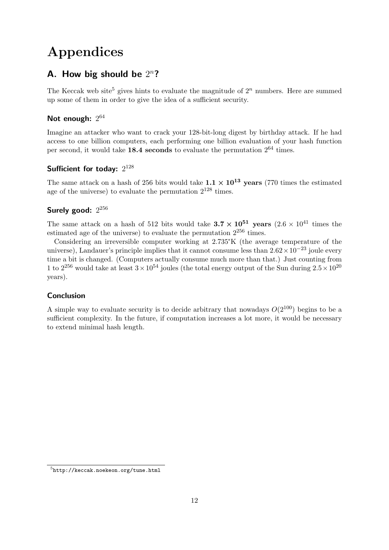# Appendices

## A. How big should be  $2^n$ ?

The Keccak web site<sup>5</sup> gives hints to evaluate the magnitude of  $2<sup>n</sup>$  numbers. Here are summed up some of them in order to give the idea of a sufficient security.

## Not enough:  $2^{64}$

Imagine an attacker who want to crack your 128-bit-long digest by birthday attack. If he had access to one billion computers, each performing one billion evaluation of your hash function per second, it would take  $18.4$  seconds to evaluate the permutation  $2^{64}$  times.

## Sufficient for today:  $2^{128}$

The same attack on a hash of 256 bits would take  $1.1 \times 10^{13}$  years (770 times the estimated age of the universe) to evaluate the permutation  $2^{128}$  times.

## Surely good:  $2^{256}$

The same attack on a hash of 512 bits would take  $3.7 \times 10^{51}$  years  $(2.6 \times 10^{41}$  times the estimated age of the universe) to evaluate the permutation  $2^{256}$  times.

Considering an irreversible computer working at 2.735°K (the average temperature of the universe), Landauer's principle implies that it cannot consume less than  $2.62 \times 10^{-23}$  joule every time a bit is changed. (Computers actually consume much more than that.) Just counting from 1 to  $2^{256}$  would take at least  $3 \times 10^{54}$  joules (the total energy output of the Sun during  $2.5 \times 10^{20}$ years).

## Conclusion

A simple way to evaluate security is to decide arbitrary that nowadays  $O(2^{100})$  begins to be a sufficient complexity. In the future, if computation increases a lot more, it would be necessary to extend minimal hash length.

 $^{5}$ http://keccak.noekeon.org/tune.html